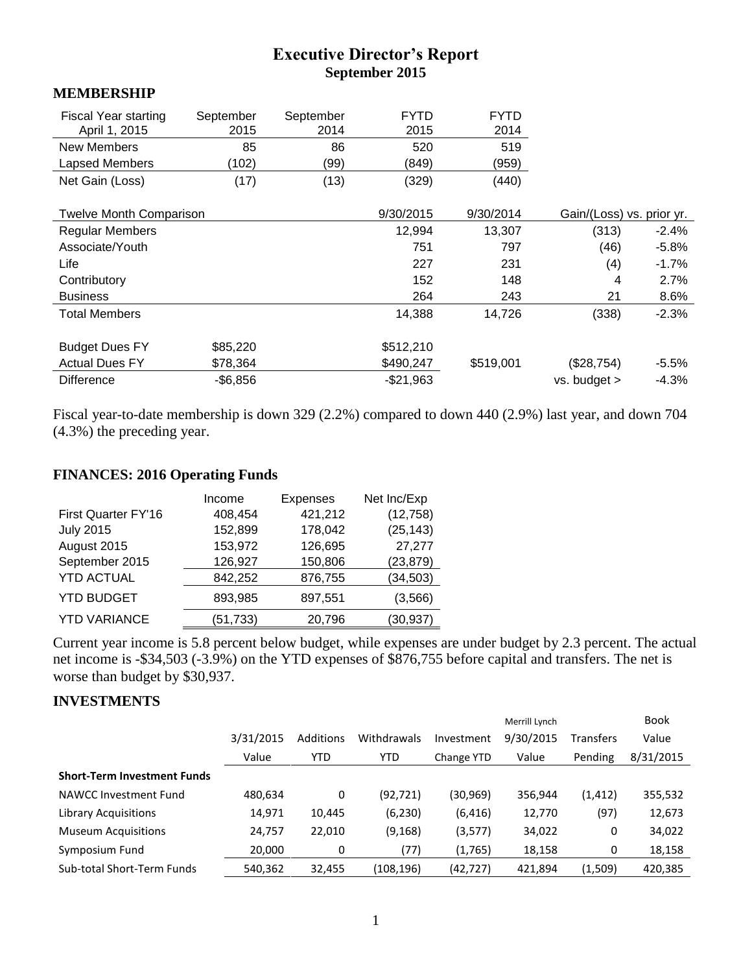# **Executive Director's Report September 2015**

#### **MEMBERSHIP**

| <b>Fiscal Year starting</b><br>April 1, 2015 | September<br>2015 | September<br>2014 | <b>FYTD</b><br>2015 | <b>FYTD</b><br>2014 |                           |         |
|----------------------------------------------|-------------------|-------------------|---------------------|---------------------|---------------------------|---------|
| <b>New Members</b>                           | 85                | 86                | 520                 | 519                 |                           |         |
| Lapsed Members                               | (102)             | (99)              | (849)               | (959)               |                           |         |
| Net Gain (Loss)                              | (17)              | (13)              | (329)               | (440)               |                           |         |
| <b>Twelve Month Comparison</b>               |                   |                   | 9/30/2015           | 9/30/2014           | Gain/(Loss) vs. prior yr. |         |
| <b>Regular Members</b>                       |                   |                   | 12,994              | 13,307              | (313)                     | $-2.4%$ |
| Associate/Youth                              |                   |                   | 751                 | 797                 | (46)                      | $-5.8%$ |
| Life                                         |                   |                   | 227                 | 231                 | (4)                       | $-1.7%$ |
| Contributory                                 |                   |                   | 152                 | 148                 | 4                         | 2.7%    |
| <b>Business</b>                              |                   |                   | 264                 | 243                 | 21                        | 8.6%    |
| <b>Total Members</b>                         |                   |                   | 14,388              | 14,726              | (338)                     | $-2.3%$ |
| <b>Budget Dues FY</b>                        | \$85,220          |                   | \$512,210           |                     |                           |         |
| <b>Actual Dues FY</b>                        | \$78,364          |                   | \$490,247           | \$519,001           | (\$28,754)                | $-5.5%$ |
| <b>Difference</b>                            | $-$6,856$         |                   | $-$21,963$          |                     | vs. budget >              | $-4.3%$ |

Fiscal year-to-date membership is down 329 (2.2%) compared to down 440 (2.9%) last year, and down 704 (4.3%) the preceding year.

### **FINANCES: 2016 Operating Funds**

|                     | Income    | <b>Expenses</b> | Net Inc/Exp |
|---------------------|-----------|-----------------|-------------|
| First Quarter FY'16 | 408,454   | 421,212         | (12, 758)   |
| <b>July 2015</b>    | 152,899   | 178,042         | (25, 143)   |
| August 2015         | 153,972   | 126,695         | 27,277      |
| September 2015      | 126,927   | 150,806         | (23, 879)   |
| <b>YTD ACTUAL</b>   | 842,252   | 876,755         | (34, 503)   |
| <b>YTD BUDGET</b>   | 893,985   | 897,551         | (3,566)     |
| <b>YTD VARIANCE</b> | (51, 733) | 20,796          | (30, 937)   |

Current year income is 5.8 percent below budget, while expenses are under budget by 2.3 percent. The actual net income is -\$34,503 (-3.9%) on the YTD expenses of \$876,755 before capital and transfers. The net is worse than budget by \$30,937.

#### **INVESTMENTS**

|                                    |           |                  |             |            | Merrill Lynch |           | <b>Book</b> |
|------------------------------------|-----------|------------------|-------------|------------|---------------|-----------|-------------|
|                                    | 3/31/2015 | <b>Additions</b> | Withdrawals | Investment | 9/30/2015     | Transfers | Value       |
|                                    | Value     | <b>YTD</b>       | <b>YTD</b>  | Change YTD | Value         | Pending   | 8/31/2015   |
| <b>Short-Term Investment Funds</b> |           |                  |             |            |               |           |             |
| NAWCC Investment Fund              | 480,634   | 0                | (92, 721)   | (30,969)   | 356,944       | (1, 412)  | 355,532     |
| Library Acquisitions               | 14,971    | 10,445           | (6, 230)    | (6, 416)   | 12,770        | (97)      | 12,673      |
| <b>Museum Acquisitions</b>         | 24,757    | 22,010           | (9, 168)    | (3,577)    | 34,022        | 0         | 34,022      |
| Symposium Fund                     | 20,000    | 0                | (77)        | (1,765)    | 18,158        | 0         | 18,158      |
| Sub-total Short-Term Funds         | 540,362   | 32,455           | (108,196)   | (42,727)   | 421,894       | (1,509)   | 420,385     |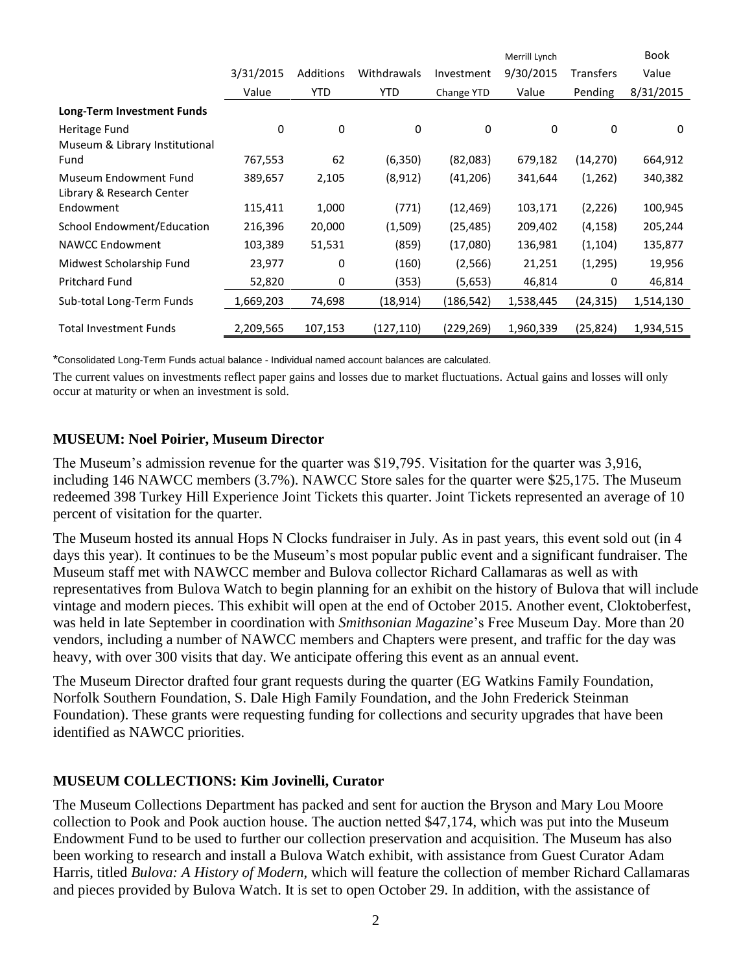|                                |           |            |             |            | Merrill Lynch |                  | <b>Book</b> |
|--------------------------------|-----------|------------|-------------|------------|---------------|------------------|-------------|
|                                | 3/31/2015 | Additions  | Withdrawals | Investment | 9/30/2015     | <b>Transfers</b> | Value       |
|                                | Value     | <b>YTD</b> | <b>YTD</b>  | Change YTD | Value         | Pending          | 8/31/2015   |
| Long-Term Investment Funds     |           |            |             |            |               |                  |             |
| Heritage Fund                  | 0         | 0          | 0           | 0          | 0             | 0                | 0           |
| Museum & Library Institutional |           |            |             |            |               |                  |             |
| Fund                           | 767,553   | 62         | (6,350)     | (82,083)   | 679,182       | (14, 270)        | 664,912     |
| Museum Endowment Fund          | 389,657   | 2,105      | (8, 912)    | (41, 206)  | 341,644       | (1,262)          | 340,382     |
| Library & Research Center      |           |            |             |            |               |                  |             |
| Endowment                      | 115,411   | 1,000      | (771)       | (12, 469)  | 103,171       | (2, 226)         | 100,945     |
| School Endowment/Education     | 216,396   | 20,000     | (1,509)     | (25, 485)  | 209,402       | (4, 158)         | 205,244     |
| <b>NAWCC Endowment</b>         | 103,389   | 51,531     | (859)       | (17,080)   | 136,981       | (1, 104)         | 135,877     |
| Midwest Scholarship Fund       | 23,977    | 0          | (160)       | (2, 566)   | 21,251        | (1,295)          | 19,956      |
| <b>Pritchard Fund</b>          | 52,820    | 0          | (353)       | (5,653)    | 46,814        | 0                | 46,814      |
| Sub-total Long-Term Funds      | 1,669,203 | 74,698     | (18,914)    | (186,542)  | 1,538,445     | (24,315)         | 1,514,130   |
| <b>Total Investment Funds</b>  | 2,209,565 | 107,153    | (127,110)   | (229,269)  | 1,960,339     | (25,824)         | 1,934,515   |

\*Consolidated Long-Term Funds actual balance - Individual named account balances are calculated.

The current values on investments reflect paper gains and losses due to market fluctuations. Actual gains and losses will only occur at maturity or when an investment is sold.

#### **MUSEUM: Noel Poirier, Museum Director**

The Museum's admission revenue for the quarter was \$19,795. Visitation for the quarter was 3,916, including 146 NAWCC members (3.7%). NAWCC Store sales for the quarter were \$25,175. The Museum redeemed 398 Turkey Hill Experience Joint Tickets this quarter. Joint Tickets represented an average of 10 percent of visitation for the quarter.

The Museum hosted its annual Hops N Clocks fundraiser in July. As in past years, this event sold out (in 4 days this year). It continues to be the Museum's most popular public event and a significant fundraiser. The Museum staff met with NAWCC member and Bulova collector Richard Callamaras as well as with representatives from Bulova Watch to begin planning for an exhibit on the history of Bulova that will include vintage and modern pieces. This exhibit will open at the end of October 2015. Another event, Cloktoberfest, was held in late September in coordination with *Smithsonian Magazine*'s Free Museum Day. More than 20 vendors, including a number of NAWCC members and Chapters were present, and traffic for the day was heavy, with over 300 visits that day. We anticipate offering this event as an annual event.

The Museum Director drafted four grant requests during the quarter (EG Watkins Family Foundation, Norfolk Southern Foundation, S. Dale High Family Foundation, and the John Frederick Steinman Foundation). These grants were requesting funding for collections and security upgrades that have been identified as NAWCC priorities.

#### **MUSEUM COLLECTIONS: Kim Jovinelli, Curator**

The Museum Collections Department has packed and sent for auction the Bryson and Mary Lou Moore collection to Pook and Pook auction house. The auction netted \$47,174, which was put into the Museum Endowment Fund to be used to further our collection preservation and acquisition. The Museum has also been working to research and install a Bulova Watch exhibit, with assistance from Guest Curator Adam Harris, titled *Bulova: A History of Modern*, which will feature the collection of member Richard Callamaras and pieces provided by Bulova Watch. It is set to open October 29. In addition, with the assistance of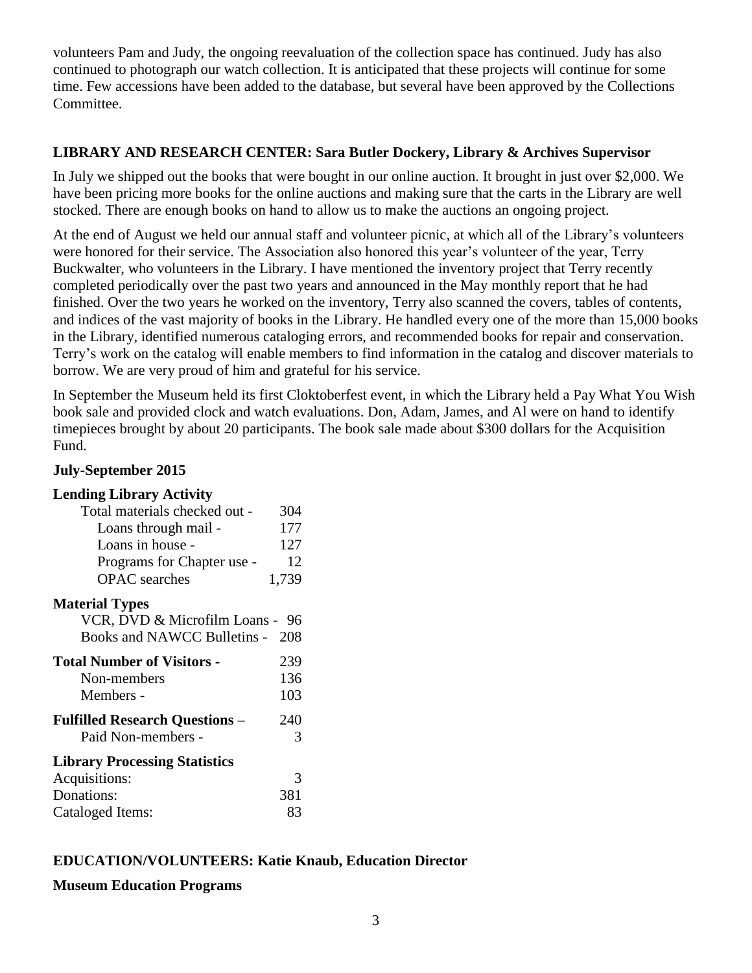volunteers Pam and Judy, the ongoing reevaluation of the collection space has continued. Judy has also continued to photograph our watch collection. It is anticipated that these projects will continue for some time. Few accessions have been added to the database, but several have been approved by the Collections Committee.

## **LIBRARY AND RESEARCH CENTER: Sara Butler Dockery, Library & Archives Supervisor**

In July we shipped out the books that were bought in our online auction. It brought in just over \$2,000. We have been pricing more books for the online auctions and making sure that the carts in the Library are well stocked. There are enough books on hand to allow us to make the auctions an ongoing project.

At the end of August we held our annual staff and volunteer picnic, at which all of the Library's volunteers were honored for their service. The Association also honored this year's volunteer of the year, Terry Buckwalter, who volunteers in the Library. I have mentioned the inventory project that Terry recently completed periodically over the past two years and announced in the May monthly report that he had finished. Over the two years he worked on the inventory, Terry also scanned the covers, tables of contents, and indices of the vast majority of books in the Library. He handled every one of the more than 15,000 books in the Library, identified numerous cataloging errors, and recommended books for repair and conservation. Terry's work on the catalog will enable members to find information in the catalog and discover materials to borrow. We are very proud of him and grateful for his service.

In September the Museum held its first Cloktoberfest event, in which the Library held a Pay What You Wish book sale and provided clock and watch evaluations. Don, Adam, James, and Al were on hand to identify timepieces brought by about 20 participants. The book sale made about \$300 dollars for the Acquisition Fund.

## **July-September 2015**

| <b>Lending Library Activity</b>       |       |
|---------------------------------------|-------|
| Total materials checked out -         | 304   |
| Loans through mail -                  | 177   |
| Loans in house -                      | 127   |
| Programs for Chapter use -            | 12    |
| <b>OPAC</b> searches                  | 1,739 |
| <b>Material Types</b>                 |       |
| VCR, DVD & Microfilm Loans - 96       |       |
| Books and NAWCC Bulletins - 208       |       |
| <b>Total Number of Visitors -</b>     | 239   |
| Non-members                           | 136   |
| Members -                             | 103   |
| <b>Fulfilled Research Questions -</b> | 240   |
| Paid Non-members -                    | 3     |
| <b>Library Processing Statistics</b>  |       |
| Acquisitions:                         | 3     |
| Donations:                            | 381   |
| Cataloged Items:                      | 83    |

# **EDUCATION/VOLUNTEERS: Katie Knaub, Education Director**

## **Museum Education Programs**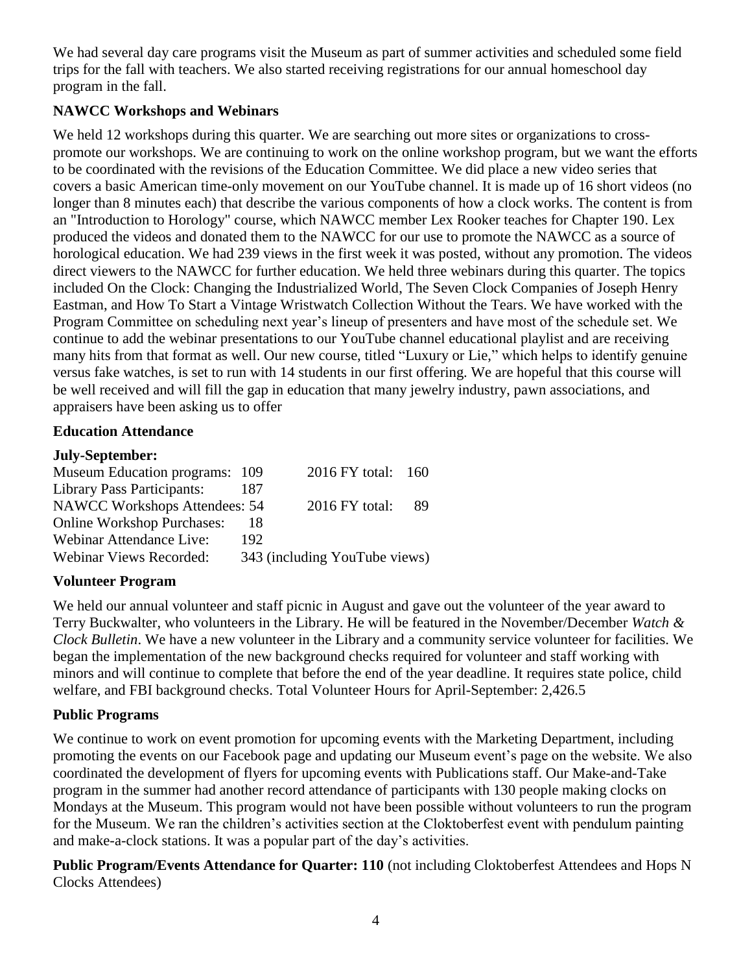We had several day care programs visit the Museum as part of summer activities and scheduled some field trips for the fall with teachers. We also started receiving registrations for our annual homeschool day program in the fall.

# **NAWCC Workshops and Webinars**

We held 12 workshops during this quarter. We are searching out more sites or organizations to crosspromote our workshops. We are continuing to work on the online workshop program, but we want the efforts to be coordinated with the revisions of the Education Committee. We did place a new video series that covers a basic American time-only movement on our YouTube channel. It is made up of 16 short videos (no longer than 8 minutes each) that describe the various components of how a clock works. The content is from an "Introduction to Horology" course, which NAWCC member Lex Rooker teaches for Chapter 190. Lex produced the videos and donated them to the NAWCC for our use to promote the NAWCC as a source of horological education. We had 239 views in the first week it was posted, without any promotion. The videos direct viewers to the NAWCC for further education. We held three webinars during this quarter. The topics included On the Clock: Changing the Industrialized World, The Seven Clock Companies of Joseph Henry Eastman, and How To Start a Vintage Wristwatch Collection Without the Tears. We have worked with the Program Committee on scheduling next year's lineup of presenters and have most of the schedule set. We continue to add the webinar presentations to our YouTube channel educational playlist and are receiving many hits from that format as well. Our new course, titled "Luxury or Lie," which helps to identify genuine versus fake watches, is set to run with 14 students in our first offering. We are hopeful that this course will be well received and will fill the gap in education that many jewelry industry, pawn associations, and appraisers have been asking us to offer

## **Education Attendance**

## **July-September:**

| 187                           |                                |                                                     |
|-------------------------------|--------------------------------|-----------------------------------------------------|
| NAWCC Workshops Attendees: 54 | $2016$ FY total:               | 89                                                  |
| 18                            |                                |                                                     |
| 192                           |                                |                                                     |
|                               |                                |                                                     |
|                               | Museum Education programs: 109 | 2016 FY total: 160<br>343 (including YouTube views) |

# **Volunteer Program**

We held our annual volunteer and staff picnic in August and gave out the volunteer of the year award to Terry Buckwalter, who volunteers in the Library. He will be featured in the November/December *Watch & Clock Bulletin*. We have a new volunteer in the Library and a community service volunteer for facilities. We began the implementation of the new background checks required for volunteer and staff working with minors and will continue to complete that before the end of the year deadline. It requires state police, child welfare, and FBI background checks. Total Volunteer Hours for April-September: 2,426.5

## **Public Programs**

We continue to work on event promotion for upcoming events with the Marketing Department, including promoting the events on our Facebook page and updating our Museum event's page on the website. We also coordinated the development of flyers for upcoming events with Publications staff. Our Make-and-Take program in the summer had another record attendance of participants with 130 people making clocks on Mondays at the Museum. This program would not have been possible without volunteers to run the program for the Museum. We ran the children's activities section at the Cloktoberfest event with pendulum painting and make-a-clock stations. It was a popular part of the day's activities.

**Public Program/Events Attendance for Quarter: 110** (not including Cloktoberfest Attendees and Hops N Clocks Attendees)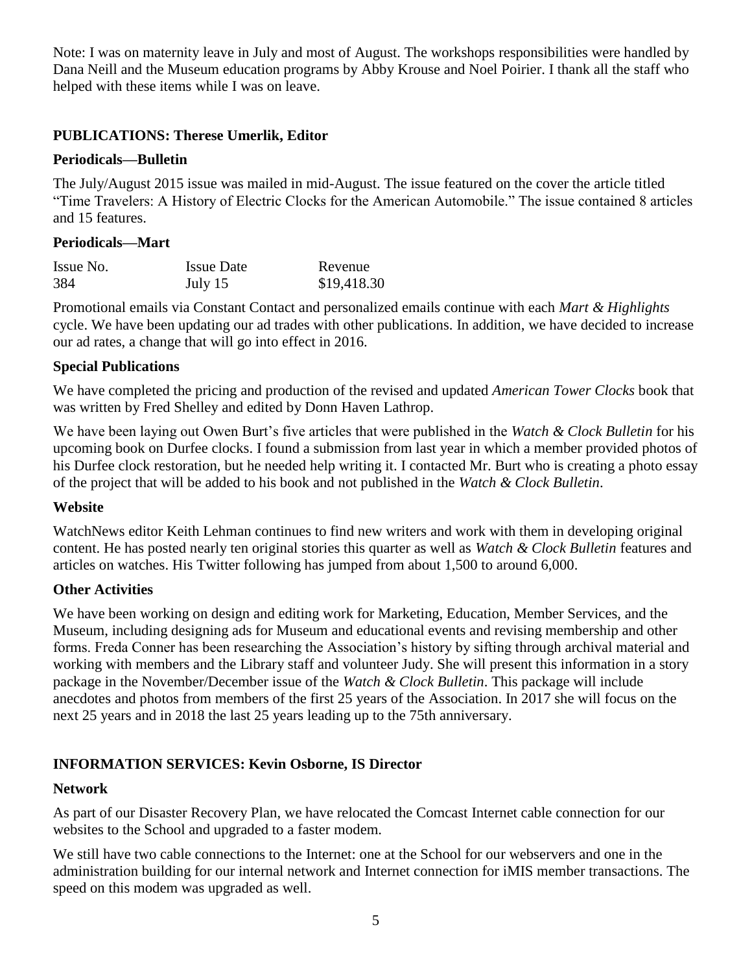Note: I was on maternity leave in July and most of August. The workshops responsibilities were handled by Dana Neill and the Museum education programs by Abby Krouse and Noel Poirier. I thank all the staff who helped with these items while I was on leave.

## **PUBLICATIONS: Therese Umerlik, Editor**

## **Periodicals—Bulletin**

The July/August 2015 issue was mailed in mid-August. The issue featured on the cover the article titled "Time Travelers: A History of Electric Clocks for the American Automobile." The issue contained 8 articles and 15 features.

## **Periodicals—Mart**

| Issue No. | <b>Issue Date</b> | Revenue     |
|-----------|-------------------|-------------|
| 384       | July 15           | \$19,418.30 |

Promotional emails via Constant Contact and personalized emails continue with each *Mart & Highlights* cycle. We have been updating our ad trades with other publications. In addition, we have decided to increase our ad rates, a change that will go into effect in 2016.

## **Special Publications**

We have completed the pricing and production of the revised and updated *American Tower Clocks* book that was written by Fred Shelley and edited by Donn Haven Lathrop.

We have been laying out Owen Burt's five articles that were published in the *Watch & Clock Bulletin* for his upcoming book on Durfee clocks. I found a submission from last year in which a member provided photos of his Durfee clock restoration, but he needed help writing it. I contacted Mr. Burt who is creating a photo essay of the project that will be added to his book and not published in the *Watch & Clock Bulletin*.

## **Website**

WatchNews editor Keith Lehman continues to find new writers and work with them in developing original content. He has posted nearly ten original stories this quarter as well as *Watch & Clock Bulletin* features and articles on watches. His Twitter following has jumped from about 1,500 to around 6,000.

## **Other Activities**

We have been working on design and editing work for Marketing, Education, Member Services, and the Museum, including designing ads for Museum and educational events and revising membership and other forms. Freda Conner has been researching the Association's history by sifting through archival material and working with members and the Library staff and volunteer Judy. She will present this information in a story package in the November/December issue of the *Watch & Clock Bulletin*. This package will include anecdotes and photos from members of the first 25 years of the Association. In 2017 she will focus on the next 25 years and in 2018 the last 25 years leading up to the 75th anniversary.

# **INFORMATION SERVICES: Kevin Osborne, IS Director**

## **Network**

As part of our Disaster Recovery Plan, we have relocated the Comcast Internet cable connection for our websites to the School and upgraded to a faster modem.

We still have two cable connections to the Internet: one at the School for our webservers and one in the administration building for our internal network and Internet connection for iMIS member transactions. The speed on this modem was upgraded as well.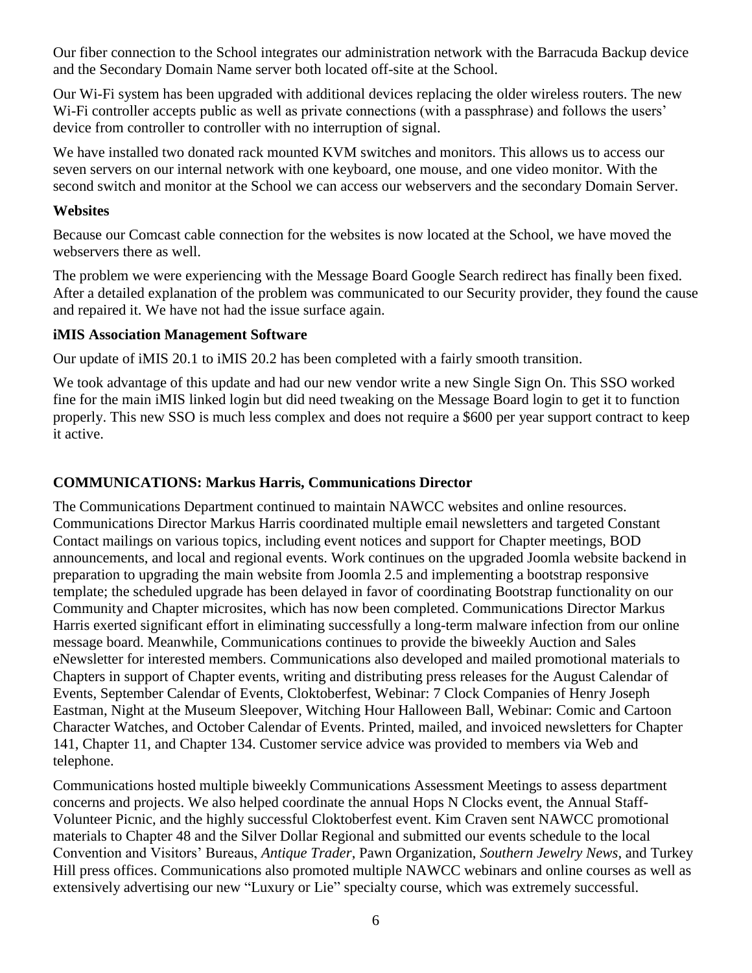Our fiber connection to the School integrates our administration network with the Barracuda Backup device and the Secondary Domain Name server both located off-site at the School.

Our Wi-Fi system has been upgraded with additional devices replacing the older wireless routers. The new Wi-Fi controller accepts public as well as private connections (with a passphrase) and follows the users' device from controller to controller with no interruption of signal.

We have installed two donated rack mounted KVM switches and monitors. This allows us to access our seven servers on our internal network with one keyboard, one mouse, and one video monitor. With the second switch and monitor at the School we can access our webservers and the secondary Domain Server.

### **Websites**

Because our Comcast cable connection for the websites is now located at the School, we have moved the webservers there as well.

The problem we were experiencing with the Message Board Google Search redirect has finally been fixed. After a detailed explanation of the problem was communicated to our Security provider, they found the cause and repaired it. We have not had the issue surface again.

### **iMIS Association Management Software**

Our update of iMIS 20.1 to iMIS 20.2 has been completed with a fairly smooth transition.

We took advantage of this update and had our new vendor write a new Single Sign On. This SSO worked fine for the main iMIS linked login but did need tweaking on the Message Board login to get it to function properly. This new SSO is much less complex and does not require a \$600 per year support contract to keep it active.

## **COMMUNICATIONS: Markus Harris, Communications Director**

The Communications Department continued to maintain NAWCC websites and online resources. Communications Director Markus Harris coordinated multiple email newsletters and targeted Constant Contact mailings on various topics, including event notices and support for Chapter meetings, BOD announcements, and local and regional events. Work continues on the upgraded Joomla website backend in preparation to upgrading the main website from Joomla 2.5 and implementing a bootstrap responsive template; the scheduled upgrade has been delayed in favor of coordinating Bootstrap functionality on our Community and Chapter microsites, which has now been completed. Communications Director Markus Harris exerted significant effort in eliminating successfully a long-term malware infection from our online message board. Meanwhile, Communications continues to provide the biweekly Auction and Sales eNewsletter for interested members. Communications also developed and mailed promotional materials to Chapters in support of Chapter events, writing and distributing press releases for the August Calendar of Events, September Calendar of Events, Cloktoberfest, Webinar: 7 Clock Companies of Henry Joseph Eastman, Night at the Museum Sleepover, Witching Hour Halloween Ball, Webinar: Comic and Cartoon Character Watches, and October Calendar of Events. Printed, mailed, and invoiced newsletters for Chapter 141, Chapter 11, and Chapter 134. Customer service advice was provided to members via Web and telephone.

Communications hosted multiple biweekly Communications Assessment Meetings to assess department concerns and projects. We also helped coordinate the annual Hops N Clocks event, the Annual Staff-Volunteer Picnic, and the highly successful Cloktoberfest event. Kim Craven sent NAWCC promotional materials to Chapter 48 and the Silver Dollar Regional and submitted our events schedule to the local Convention and Visitors' Bureaus, *Antique Trader*, Pawn Organization, *Southern Jewelry News*, and Turkey Hill press offices. Communications also promoted multiple NAWCC webinars and online courses as well as extensively advertising our new "Luxury or Lie" specialty course, which was extremely successful.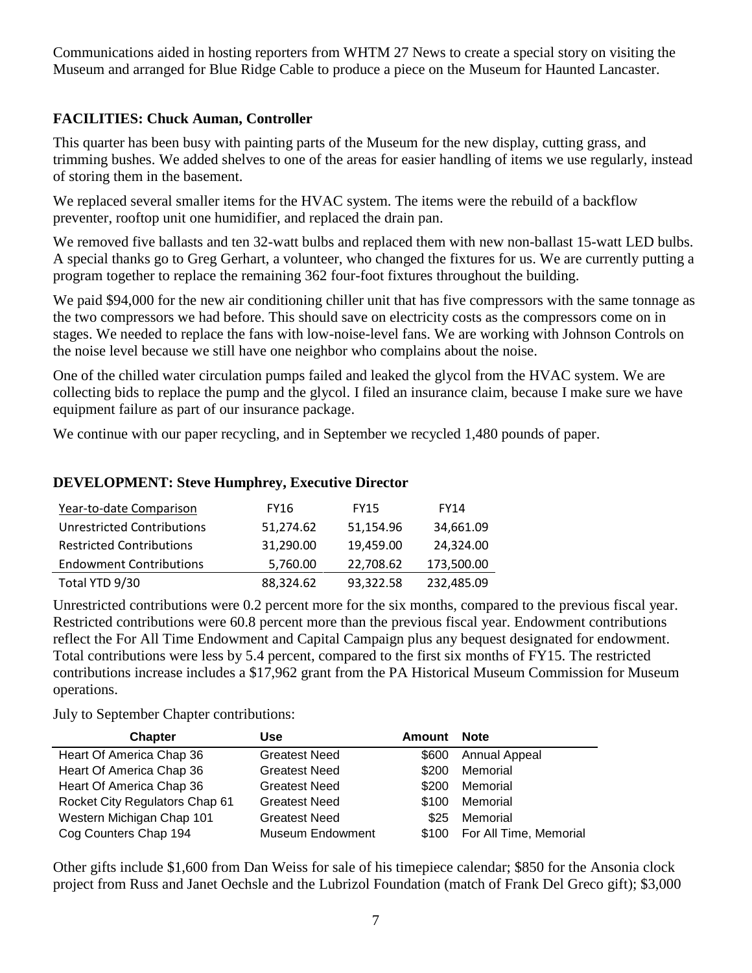Communications aided in hosting reporters from WHTM 27 News to create a special story on visiting the Museum and arranged for Blue Ridge Cable to produce a piece on the Museum for Haunted Lancaster.

# **FACILITIES: Chuck Auman, Controller**

This quarter has been busy with painting parts of the Museum for the new display, cutting grass, and trimming bushes. We added shelves to one of the areas for easier handling of items we use regularly, instead of storing them in the basement.

We replaced several smaller items for the HVAC system. The items were the rebuild of a backflow preventer, rooftop unit one humidifier, and replaced the drain pan.

We removed five ballasts and ten 32-watt bulbs and replaced them with new non-ballast 15-watt LED bulbs. A special thanks go to Greg Gerhart, a volunteer, who changed the fixtures for us. We are currently putting a program together to replace the remaining 362 four-foot fixtures throughout the building.

We paid \$94,000 for the new air conditioning chiller unit that has five compressors with the same tonnage as the two compressors we had before. This should save on electricity costs as the compressors come on in stages. We needed to replace the fans with low-noise-level fans. We are working with Johnson Controls on the noise level because we still have one neighbor who complains about the noise.

One of the chilled water circulation pumps failed and leaked the glycol from the HVAC system. We are collecting bids to replace the pump and the glycol. I filed an insurance claim, because I make sure we have equipment failure as part of our insurance package.

We continue with our paper recycling, and in September we recycled 1,480 pounds of paper.

## **DEVELOPMENT: Steve Humphrey, Executive Director**

| Year-to-date Comparison           | <b>FY16</b> | <b>FY15</b> | <b>FY14</b> |
|-----------------------------------|-------------|-------------|-------------|
| <b>Unrestricted Contributions</b> | 51,274.62   | 51,154.96   | 34,661.09   |
| <b>Restricted Contributions</b>   | 31,290.00   | 19,459.00   | 24,324.00   |
| <b>Endowment Contributions</b>    | 5,760.00    | 22,708.62   | 173,500.00  |
| Total YTD 9/30                    | 88,324.62   | 93,322.58   | 232,485.09  |

Unrestricted contributions were 0.2 percent more for the six months, compared to the previous fiscal year. Restricted contributions were 60.8 percent more than the previous fiscal year. Endowment contributions reflect the For All Time Endowment and Capital Campaign plus any bequest designated for endowment. Total contributions were less by 5.4 percent, compared to the first six months of FY15. The restricted contributions increase includes a \$17,962 grant from the PA Historical Museum Commission for Museum operations.

July to September Chapter contributions:

| <b>Chapter</b>                 | Use                  | Amount | <b>Note</b>            |
|--------------------------------|----------------------|--------|------------------------|
| Heart Of America Chap 36       | <b>Greatest Need</b> | \$600  | Annual Appeal          |
| Heart Of America Chap 36       | <b>Greatest Need</b> | \$200  | Memorial               |
| Heart Of America Chap 36       | <b>Greatest Need</b> | \$200  | Memorial               |
| Rocket City Regulators Chap 61 | <b>Greatest Need</b> | \$100  | Memorial               |
| Western Michigan Chap 101      | <b>Greatest Need</b> | \$25   | Memorial               |
| Cog Counters Chap 194          | Museum Endowment     | \$100  | For All Time, Memorial |

Other gifts include \$1,600 from Dan Weiss for sale of his timepiece calendar; \$850 for the Ansonia clock project from Russ and Janet Oechsle and the Lubrizol Foundation (match of Frank Del Greco gift); \$3,000